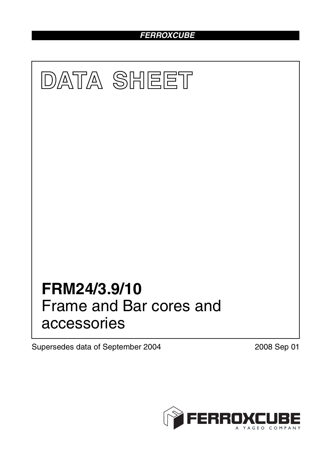# *FERROXCUBE*



Supersedes data of September 2004 2008 Sep 01

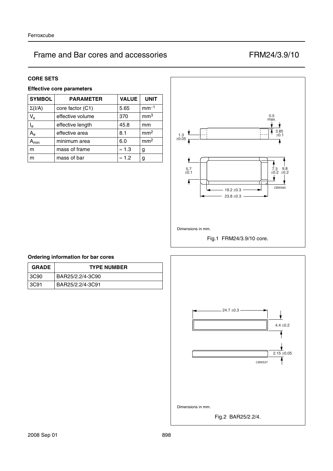#### **CORE SETS**

# **Effective core parameters**

| <b>SYMBOL</b>             | <b>PARAMETER</b> | <b>VALUE</b>  | <b>UNIT</b>     |
|---------------------------|------------------|---------------|-----------------|
| $\Sigma(I/A)$             | core factor (C1) | 5.65          | $mm-1$          |
| $\mathsf{V}_{\mathsf{e}}$ | effective volume | 370           | mm <sup>3</sup> |
| $\mathsf{I}_\mathsf{e}$   | effective length | 45.8          | mm              |
| $A_{\rm e}$               | effective area   | 8.1           | mm <sup>2</sup> |
| <b>\</b> min              | minimum area     | 6.0           | mm <sup>2</sup> |
| m                         | mass of frame    | $\approx$ 1.3 | g               |
| m                         | mass of bar      | $\approx$ 1.2 | g               |



### **Ordering information for bar cores**

| <b>GRADE</b> | <b>TYPE NUMBER</b> |
|--------------|--------------------|
| l 3C90       | BAR25/2.2/4-3C90   |
| 3C91         | BAR25/2.2/4-3C91   |

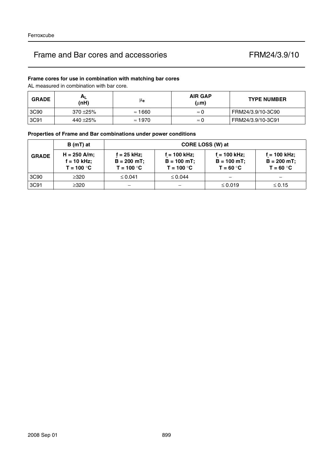# **Frame cores for use in combination with matching bar cores**

AL measured in combination with bar core.

| <b>GRADE</b> | $H_{L}$<br>(nH) | μ <sub>e</sub> | <b>AIR GAP</b><br>$(\mu m)$ | <b>TYPE NUMBER</b> |
|--------------|-----------------|----------------|-----------------------------|--------------------|
| 3C90         | $370 + 25%$     | $\approx 1660$ | $\approx 0$                 | FRM24/3.9/10-3C90  |
| 3C91         | 440 ±25%        | $\approx 1970$ | $\approx 0$                 | FRM24/3.9/10-3C91  |

# **Properties of Frame and Bar combinations under power conditions**

|              | $B(mT)$ at                                    | CORE LOSS (W) at                             |                                                 |                                               |                                                 |  |
|--------------|-----------------------------------------------|----------------------------------------------|-------------------------------------------------|-----------------------------------------------|-------------------------------------------------|--|
| <b>GRADE</b> | $H = 250$ A/m;<br>f = 10 kHz;<br>$T = 100 °C$ | f = 25 kHz;<br>$B = 200$ mT;<br>$T = 100 °C$ | $f = 100$ kHz;<br>$B = 100$ mT;<br>$T = 100 °C$ | f = 100 kHz;<br>$B = 100 mT$ ;<br>$T = 60 °C$ | $f = 100$ kHz;<br>$B = 200 mT$ ;<br>$T = 60 °C$ |  |
| 3C90         | $\geq$ 320                                    | $\leq 0.041$                                 | $\leq 0.044$                                    | $\overline{\phantom{0}}$                      |                                                 |  |
| 3C91         | $\geq$ 320                                    |                                              |                                                 | $\leq 0.019$                                  | $\leq 0.15$                                     |  |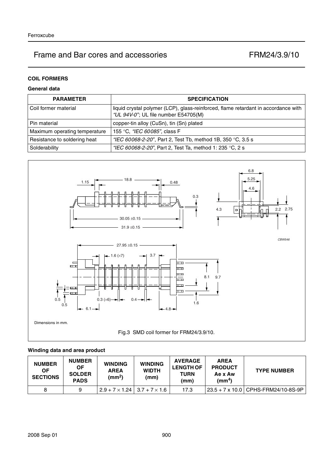# **COIL FORMERS**

## **General data**

| <b>PARAMETER</b>              | <b>SPECIFICATION</b>                                                                                                       |  |  |
|-------------------------------|----------------------------------------------------------------------------------------------------------------------------|--|--|
| Coil former material          | liquid crystal polymer (LCP), glass-reinforced, flame retardant in accordance with<br>"UL 94V-0"; UL file number E54705(M) |  |  |
| Pin material                  | copper-tin alloy (CuSn), tin (Sn) plated                                                                                   |  |  |
| Maximum operating temperature | 155 °C, "IEC 60085", class F                                                                                               |  |  |
| Resistance to soldering heat  | "IEC 60068-2-20", Part 2, Test Tb, method 1B, 350 °C, 3.5 s                                                                |  |  |
| Solderability                 | "IEC 60068-2-20", Part 2, Test Ta, method 1: 235 °C, 2 s                                                                   |  |  |



# **Winding data and area product**

| <b>NUMBER</b><br>0F<br><b>SECTIONS</b> | <b>NUMBER</b><br><b>OF</b><br><b>SOLDER</b><br><b>PADS</b> | <b>WINDING</b><br><b>AREA</b><br>(mm <sup>2</sup> ) | <b>WINDING</b><br><b>WIDTH</b><br>(mm) | <b>AVERAGE</b><br><b>LENGTH OF</b><br><b>TURN</b><br>(mm) | <b>AREA</b><br><b>PRODUCT</b><br>Ae x Aw<br>(mm <sup>4</sup> ) | <b>TYPE NUMBER</b>                  |
|----------------------------------------|------------------------------------------------------------|-----------------------------------------------------|----------------------------------------|-----------------------------------------------------------|----------------------------------------------------------------|-------------------------------------|
| 8                                      | 9                                                          | $2.9 + 7 \times 1.24$   3.7 + 7 $\times$ 1.6        |                                        | 17.3                                                      |                                                                | 23.5 + 7 x 10.0 CPHS-FRM24/10-8S-9P |